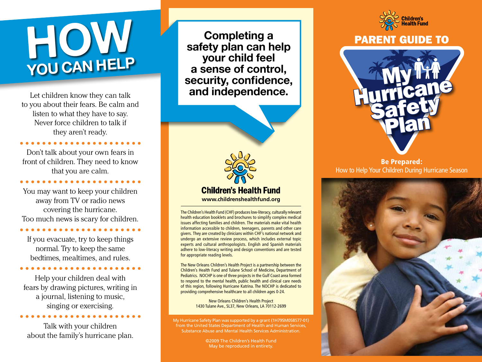# **How you can help**

to you about their fears. Be calm and listen to what they have to say. Never force children to talk if they aren't ready.

Don't talk about your own fears in front of children. They need to know that you are calm.

You may want to keep your children away from TV or radio news covering the hurricane. Too much news is scary for children.

If you evacuate, try to keep things normal. Try to keep the same bedtimes, mealtimes, and rules.

Help your children deal with fears by drawing pictures, writing in a journal, listening to music, singing or exercising.

Talk with your children about the family's hurricane plan.

**Completing a safety plan can help your child feel a sense of control, security, confidence,**  Let children know they can talk **and independence.** 



The Children's Health Fund (CHF) produces low-literacy, culturally relevant health education booklets and brochures to simplify complex medical issues affecting families and children. The materials make vital health information accessible to children, teenagers, parents and other care givers. They are created by clinicians within CHF's national network and undergo an extensive review process, which includes external topic experts and cultural anthropologists. English and Spanish materials adhere to low-literacy writing and design conventions and are tested for appropriate reading levels.

The New Orleans Children's Health Project is a partnership between the Children's Health Fund and Tulane School of Medicine, Department of Pediatrics. NOCHP is one of three projects in the Gulf Coast area formed to respond to the mental health, public health and clinical care needs of this region, following Hurricane Katrina. The NOCHP is dedicated to providing comprehensive healthcare to all children ages 0-24.

> New Orleans Children's Health Project 1430 Tulane Ave., SL37, New Orleans, LA 70112-2699

My Hurricane Safety Plan was supported by a grant (1H79SM058577-01) from the United States Department of Health and Human Services, Substance Abuse and Mental Health Services Administration.

> ©2009 The Children's Health Fund May be reproduced in entirety.



### PARENT GUIDE TO



### Be Prepared: How to Help Your Children During Hurricane Season